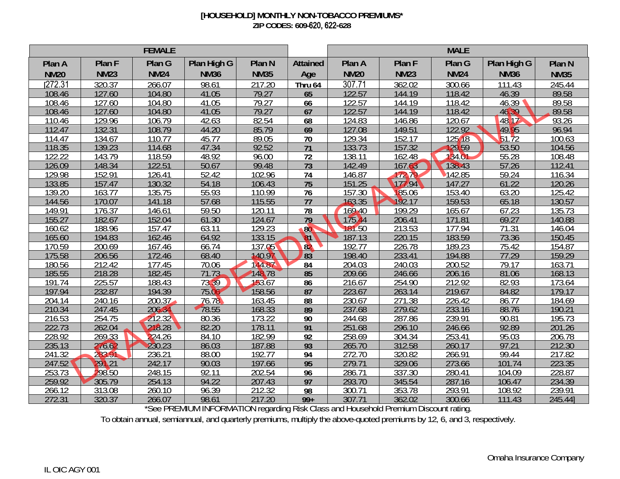## **[HOUSEHOLD] MONTHLY NON-TOBACCO PREMIUMS\* ZIP CODES: 609-**620, 622-**628**

| <b>FEMALE</b>       |                  |                  |                        |                  |                 | <b>MALE</b>      |                  |                  |                |                  |  |
|---------------------|------------------|------------------|------------------------|------------------|-----------------|------------------|------------------|------------------|----------------|------------------|--|
| Plan A              | Plan F           | Plan G           | Plan High G            | Plan N           | <b>Attained</b> | Plan A           | Plan F           | Plan G           | Plan High G    | Plan N           |  |
| <b>NM20</b>         | <b>NM23</b>      | <b>NM24</b>      | <b>NM36</b>            | <b>NM35</b>      | Age             | <b>NM20</b>      | <b>NM23</b>      | <b>NM24</b>      | <b>NM36</b>    | <b>NM35</b>      |  |
| $\overline{272.31}$ | 320.37           | 266.07           | 98.61                  | 217.20           | Thru 64         | 307.71           | 362.02           | 300.66           | 111.43         | 245.44           |  |
| 108.46              | 127.60           | 104.80           | 41.05                  | 79.27            | 65              | 122.57           | 144.19           | 118.42           | 46.39          | 89.58            |  |
| 108.46              | 127.60           | 104.80           | 41.05                  | 79.27            | 66              | 122.57           | 144.19           | 118.42           | 46.39          | 89.58            |  |
| 108.46              | 127.60           | 104.80           | 41.05                  | 79.27            | 67              | 122.57           | 144.19           | 18.42            | 46.39          | 89.58            |  |
| 110.46              | 129.96           | 106.79           | 42.63                  | 82.54            | 68              | 124.83           | 146.86           | 120.67           | 48.17          | 93.26            |  |
| 112.47              | 132.31           | 108.79           | 44.20                  | 85.79            | 69              | 127.08           | 149.51           | 22.92            | 49.95          | 96.94            |  |
| 114.47              | 134.67           | 110.77           | 45.77                  | 89.05            | $\overline{70}$ | 129.34           | 152.17           | 125.18           | 51.72          | 100.63           |  |
| 118.35              | 139.23           | 114.68           | 47.34                  | 92.52            | $\overline{71}$ | 133.73           | 157.32           | 129.59           | 53.50          | 104.56           |  |
| 122.22              | 143.79           | 118.59           | 48.92                  | 96.00            | $\overline{72}$ | 138.11           | 162.48           | 134.01           | 55.28          | 108.48           |  |
| 126.09              | 148.34           | 122.51           | 50.67                  | 99.48            | 73              | 142.49           | 167.63           | 138.43           | 57.26          | 12.41            |  |
| 129.98              | 152.91           | 126.41           | 52.42                  | 102.96           | 74              | 146.87           | 172.79           | 142.85           | 59.24          | 116.34           |  |
| 133.85              | 157.47           | 130.32           | 54.18                  | 106.43           | $\overline{75}$ | 151.25           | 177.94           | 147.27           | 61.22          | 20.26            |  |
| 139.20              | 163.77           | 135.75           | 55.93                  | 110.99           | $\overline{76}$ | 157.30           | 185.06           | 153.40           | 63.20          | 125.42           |  |
| 144.56              | 170.07           | 141.18           | 57.68                  | 115.55           | 77              | 163.35           | 192.17           | 159.53           | 65.18          | 130.57           |  |
| 149.91              | 176.37           | 146.61           | 59.50                  | 120.11           | $\overline{78}$ | 169.40           | 199.29           | 165.67           | 67.23          | 35.73            |  |
| 155.27              | 182.67           | 152.04           | 61.30                  | 124.67           | 79              | 175.44           | 206.41           | 171.81           | 69.27          | 140.88           |  |
| 160.62              | 188.96           | 157.47           | 63.11                  | 129.23           | 80              | 181.50           | 213.53<br>220.15 | 177.94           | 71.31          | 146.04           |  |
| 165.60              | 194.83           | 162.46           | 64.92                  | 133.15           | 81              | 187.13<br>192.77 |                  | 183.59           | 73.36          | 150.45           |  |
| 170.59<br>175.58    | 200.69           | 167.46<br>172.46 | 66.74<br>68.40         | 137.05<br>140.97 | 82              | 198.40           | 226.78<br>233.41 | 189.23<br>194.88 | 75.42<br>77.29 | 154.87<br>159.29 |  |
| 180.56              | 206.56<br>212.42 | 177.45           | 70.06                  | 144.87           | 83              | 204.03           | 240.03           | 200.52           | 79.17          | 163.71           |  |
| 185.55              | 218.28           | 182.45           | $\overline{71}$<br>.73 | 148.78           | 84<br>85        | 209.66           | 246.66           | 206.16           | 81.06          | 168.13           |  |
| 191.74              | 225.57           | 188.43           | 73.39                  | 153.67           | 86              | 216.67           | 254.90           | 212.92           | 82.93          | 173.64           |  |
| 197.94              | 232.87           | 194.39           | 75.06                  | 158.56           | 87              | 223.67           | 263.14           | 219.67           | 84.82          | 179.17           |  |
| 204.14              | 240.16           | 200.37           | $\overline{76.78}$     | 163.45           | 88              | 230.67           | 271.38           | 226.42           | 86.77          | 184.69           |  |
| 210.34              | 247.45           | 206.34           | 78.55                  | 168.33           | 89              | 237.68           | 279.62           | 233.16           | 88.76          | 190.21           |  |
| 216.53              | 254.75           | 212.32           | 80.36                  | 173.22           | 90              | 244.68           | 287.86           | 239.91           | 90.81          | 195.73           |  |
| 222.73              | 262.04           | 218.28           | 82.20                  | 178.11           | 91              | 251.68           | 296.10           | 246.66           | 92.89          | 201.26           |  |
| 228.92              | 269.33           | 224.26           | 84.10                  | 182.99           | 92              | 258.69           | 304.34           | 253.41           | 95.03          | 206.78           |  |
| 235.13              | 276.67           | 230.23           | 86.03                  | 187.88           | 93              | 265.70           | 312.58           | 260.17           | 97.21          | 212.30           |  |
| 241.32              | 283.91           | 236.21           | 88.00                  | 192.77           | 94              | 272.70           | 320.82           | 266.91           | 99.44          | 217.82           |  |
| 247.52              | 291.21           | 242.17           | 90.03                  | 197.66           | 95              | 279.71           | 329.06           | 273.66           | 101.74         | 223.35           |  |
| 253.73              | 298.50           | 248.15           | 92.11                  | 202.54           | 96              | 286.71           | 337.30           | 280.41           | 104.09         | 228.87           |  |
| 259.92              | 305.79           | 254.13           | 94.22                  | 207.43           | 97              | 293.70           | 345.54           | 287.16           | 106.47         | 234.39           |  |
| 266.12              | 313.08           | 260.10           | 96.39                  | 212.32           | 98              | 300.71           | 353.78           | 293.91           | 108.92         | 239.91           |  |
| 272.31              | 320.37           | 266.07           | 98.61                  | 217.20           | $99+$           | 307.71           | 362.02           | 300.66           | 111.43         | 245.44]          |  |

\*See PREMIUM INFORMATION regarding Risk Class and Household Premium Discount rating.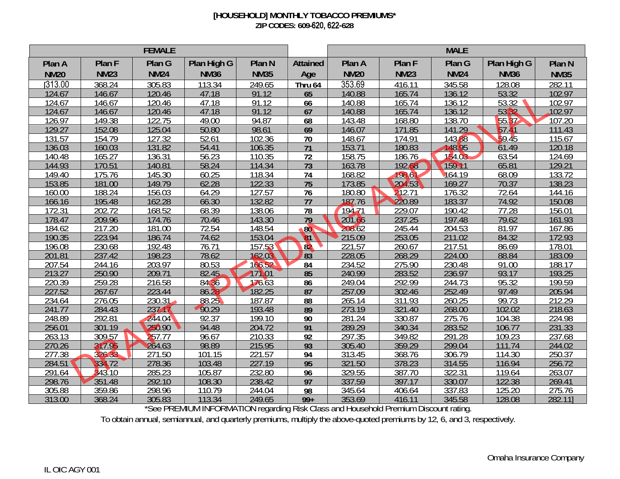## **[HOUSEHOLD] MONTHLY TOBACCO PREMIUMS\* ZIP CODES: 609-**620, 622-**628**

| <b>FEMALE</b>    |                  |                  |                |                   |                      | <b>MALE</b>      |                  |                  |                |                  |
|------------------|------------------|------------------|----------------|-------------------|----------------------|------------------|------------------|------------------|----------------|------------------|
| Plan A           | Plan F           | Plan G           | Plan High G    | Plan <sub>N</sub> | <b>Attained</b>      | Plan A           | Plan F           | Plan G           | Plan High G    | Plan N           |
| <b>NM20</b>      | <b>NM23</b>      | <b>NM24</b>      | <b>NM36</b>    | <b>NM35</b>       | Age                  | <b>NM20</b>      | <b>NM23</b>      | <b>NM24</b>      | <b>NM36</b>    | <b>NM35</b>      |
| [313.00]         | 368.24           | 305.83           | 113.34         | 249.65            | Thru 64              | 353.69           | 416.11           | 345.58           | 128.08         | 282.11           |
| 124.67           | 146.67           | 120.46           | 47.18          | 91.12             | 65                   | 140.88           | 165.74           | 136.12           | 53.32          | 102.97           |
| 124.67           | 146.67           | 120.46           | 47.18          | 91.12             | 66                   | 140.88           | 165.74           | 136.12           | 53.32          | 102.97           |
| 124.67           | 146.67           | 120.46           | 47.18          | 91.12             | 67                   | 140.88           | 165.74           | 136.12           | 5332           | 102.97           |
| 126.97           | 149.38           | 122.75           | 49.00          | 94.87             | 68                   | 143.48           | 168.80           | 138.70           | 55.37          | 107.20           |
| 129.27           | 152.08           | 125.04           | 50.80          | 98.61             | 69                   | 146.07           | 171.85           | 141.29           | 57.41          | 111.43           |
| 131.57           | 154.79           | 127.32           | 52.61          | 102.36            | $\overline{70}$      | 148.67           | 174.91           | 143,88           | 59.45          | 115.67           |
| 136.03           | 160.03           | 131.82           | 54.41          | 106.35            | $\overline{71}$      | 153.71           | 180.83           | 148.95           | 61.49          | 120.18           |
| 140.48           | 165.27           | 136.31           | 56.23          | 110.35            | $\overline{72}$      | 158.75           | 186.76           | 154.03           | 63.54          | 124.69           |
| 144.93           | 170.51           | 140.81           | 58.24          | 114.34            | 73                   | 163.78           | 192.68           | 159.1            | 65.81          | 129.21           |
| 149.40           | 175.76           | 145.30           | 60.25          | 118.34            | 74                   | 168.82           | 198.61           | 164.19           | 68.09          | 133.72           |
| 153.85           | 181.00           | 149.79           | 62.28          | 122.33            | 75                   | 173.85           | 204.53           | 169.27           | 70.37          | 38.23            |
| 160.00           | 188.24           | 156.03           | 64.29          | 127.57            | $\overline{76}$      | 180.80           | 212.71           | 176.32           | 72.64          | 144.16           |
| 166.16           | 195.48           | 162.28           | 66.30          | 132.82            | $\overline{77}$      | 187.76           | 220.89           | 183.37           | 74.92          | 150.08           |
| 172.31           | 202.72           | 168.52           | 68.39          | 138.06            | 78                   | 194.71           | 229.07           | 190.42           | 77.28          | 156.01           |
| 178.47           | 209.96           | 174.76           | 70.46          | 143.30            | $\overline{79}$      | 201.66           | 237.25           | 197.48           | 79.62          | 161.93           |
| 184.62           | 217.20<br>223.94 | 181.00           | 72.54          | 148.54            | 80<br>$\mathbf{a}$ 1 | 208.62           | 245.44<br>253.05 | 204.53           | 81.97          | 167.86           |
| 190.35<br>196.08 |                  | 186.74           | 74.62<br>76.71 | 153.04<br>157.53  |                      | 215.09<br>221.57 | 260.67           | 211.02<br>217.51 | 84.32          | 172.93<br>178.01 |
| 201.81           | 230.68<br>237.42 | 192.48<br>198.23 | 78.62          | 162.03            | 82<br>83             | 228.05           | 268.29           | 224.00           | 86.69<br>88.84 | 183.09           |
| 207.54           | 244.16           | 203.97           | 80.53          | 166.52            | 84                   | 234.52           | 275.90           | 230.48           | 91.00          | 188.17           |
| 213.27           | 250.90           | 209.71           | 82.45          | .01<br>17 N       | 85                   | 240.99           | 283.52           | 236.97           | 93.17          | 193.25           |
| 220.39           | 259.28           | 216.58           | 84.36          | 176.63            | $\overline{86}$      | 249.04           | 292.99           | 244.73           | 95.32          | 199.59           |
| 227.52           | 267.67           | 223.44           | 86.28          | 182.25            | 87                   | 257.09           | 302.46           | 252.49           | 97.49          | 205.94           |
| 234.64           | 276.05           | 230.31           | 88.25          | 187.87            | 88                   | 265.14           | 311.93           | 260.25           | 99.73          | 212.29           |
| 241.77           | 284.43           | 23717            | 90.29          | 193.48            | 89                   | 273.19           | 321.40           | 268.00           | 102.02         | 218.63           |
| 248.89           | 292.81           | 244.04           | 92.37          | 199.10            | 90                   | 281.24           | 330.87           | 275.76           | 104.38         | 224.98           |
| 256.01           | 301.19           | 250.90           | 94.48          | 204.72            | 91                   | 289.29           | 340.34           | 283.52           | 106.77         | 231.33           |
| 263.13           | 309.57           | 257.77           | 96.67          | 210.33            | 92                   | 297.35           | 349.82           | 291.28           | 109.23         | 237.68           |
| 270.26           | 317.95<br>V      | 264.63           | 98.89          | 215.95            | 93                   | 305.40           | 359.29           | 299.04           | 111<br>.74     | 244.02           |
| 277.38           | 326.33           | 271.50           | 101.15         | 221.57            | 94                   | 313.45           | 368.76           | 306.79           | 114.30         | 250.37           |
| 284.51           | 334.72           | 278.36           | 103.48         | 227.19            | 95                   | 321.50           | 378.23           | 314.55           | 116.94         | 256.72           |
| 291.64           | 343.10           | 285.23           | 105.87         | 232.80            | 96                   | 329.55           | 387.70           | 322.31           | 119.64         | 263.07           |
| 298.76           | 351.48           | 292.10           | 108.30         | 238.42            | 97                   | 337.59           | 397.17           | 330.07           | 122.38         | 269.41           |
| 305.88           | 359.86           | 298.96           | 110.79         | 244.04            | 98                   | 345.64           | 406.64           | 337.83           | 125.20         | 275.76           |
| 313.00           | 368.24           | 305.83           | 113.34         | 249.65            | $99+$                | 353.69           | 416.11           | 345.58           | 128.08         | 282.111          |

\*See PREMIUM INFORMATION regarding Risk Class and Household Premium Discount rating.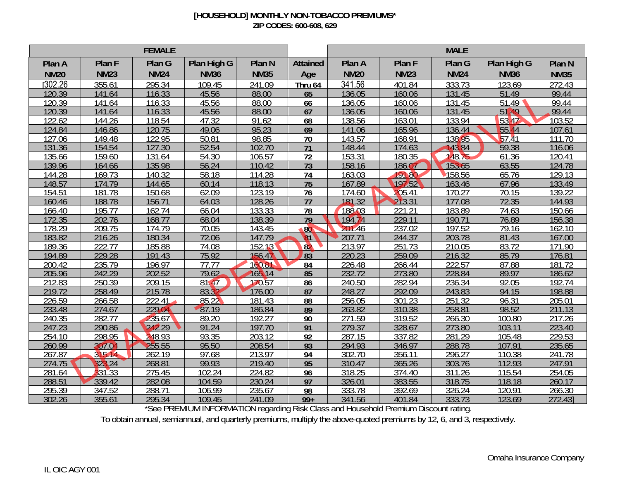## **[HOUSEHOLD] MONTHLY NON-TOBACCO PREMIUMS\* ZIP CODES: 600-608, 629**

| <b>FEMALE</b>    |                                |                  |                |                  |                 | <b>MALE</b>      |                         |                  |                |                  |
|------------------|--------------------------------|------------------|----------------|------------------|-----------------|------------------|-------------------------|------------------|----------------|------------------|
| Plan A           | Plan F                         | Plan G           | Plan High G    | Plan N           | <b>Attained</b> | Plan A           | Plan F                  | Plan G           | Plan High G    | Plan N           |
| <b>NM20</b>      | <b>NM23</b>                    | <b>NM24</b>      | <b>NM36</b>    | <b>NM35</b>      | Age             | <b>NM20</b>      | <b>NM23</b>             | <b>NM24</b>      | <b>NM36</b>    | <b>NM35</b>      |
| 302.26           | 355.61                         | 295.34           | 109.45         | 241.09           | Thru 64         | 341.56           | 401.84                  | 333.73           | 123.69         | 272.43           |
| 120.39           | 141.64                         | 116.33           | 45.56          | 88.00            | 65              | 136.05           | 160.06                  | 131.45           | 51.49          | 99.44            |
| 120.39           | 141.64                         | 116.33           | 45.56          | 88.00            | 66              | 136.05           | 160.06                  | 131.45           | 51.49          | 99.44            |
| 120.39           | 141.64                         | 116.33           | 45.56          | 88.00            | 67              | 136.05           | 160.06                  | 131.45           | 51<br>19       | 99.44            |
| 122.62           | 144.26                         | 118.54           | 47.32          | 91.62            | 68              | 138.56           | 163.01                  | 133.94           | 53.47          | 103.52           |
| 124.84           | 146.86                         | 120.75           | 49.06          | 95.23            | 69              | 141.06           | 165.96                  | 136.44           | 55.44          | 107.61           |
| 127.06           | 149.48                         | 122.95           | 50.81          | 98.85            | $\overline{70}$ | 143.57           | 168.91                  | 138.95           | 57.41          | 111.70           |
| 131.36           | 154.54                         | 127.30           | 52.54          | 102.70           | $\overline{71}$ | 148.44           | 174.63                  | 143.84           | 59.38          | 116.06           |
| 135.66           | 159.60                         | 131.64           | 54.30          | 106.57           | $\overline{72}$ | 153.31           | 180.35                  | 148.75           | 61.36          | 120.41           |
| 139.96           | 164.66                         | 135.98           | 56.24          | 110.42           | 73              | 158.16           | 186.07                  | 153.65           | 63.55          | 124.78           |
| 144.28           | 169.73                         | 140.32           | 58.18          | 114.28           | 74              | 163.03           | 191.80                  | 158.56           | 65.76          | 129.13           |
| 148.57           | 174.79                         | 144.65           | 60.14          | 118.13           | 75              | 167.89           | 197.52                  | 163.46           | 67.96          | 133.49           |
| 154.51           | 181.78                         | 150.68           | 62.09          | 123.19           | $\overline{76}$ | 174.60           | 205.41                  | 170.27           | 70.15          | 139.22           |
| 160.46           | 188.78                         | 156.71           | 64.03          | 128.26           | $\overline{77}$ | 181.32           | 213.31                  | 177.08           | 72.35          | 144.93           |
| 166.40           | 195.77                         | 162.74           | 66.04          | 133.33           | 78              | 188.03           | 221<br>$\overline{.21}$ | 183.89           | 74.63          | 150.66           |
| 172.35           | 202.76                         | 168.77           | 68.04          | 138.39           | $\overline{79}$ | 194.74           | 229.11                  | 190.71           | 76.89          | 156.38           |
| 178.29           | 209.75                         | 174.79           | 70.05          | 143.45           | 80              | 201.46           | 237.02                  | 197.52           | 79.16          | 162.10           |
| 183.82           | 216.26                         | 180.34           | 72.06          | 147.79           | $\mathbf{a}$ 1  | 207.71           | 244.37                  | 203.78           | 81.43          | 167.00           |
| 189.36           | 222.77                         | 185.88           | 74.08          | 152.13           | 82              | 213.97           | 251.73                  | 210.05           | 83.72          | 171.90           |
| 194.89           | 229.28                         | 191.43           | 75.92          | 156.47           | 83              | 220.23           | 259.09                  | 216.32           | 85.79          | 176.81           |
| 200.42           | 235.79                         | 196.97           | 77.77          | 160.81           | 84              | 226.48           | 266.44                  | 222.57           | 87.88          | 181.72           |
| 205.96           | 242.29                         | 202.52           | 79.62          | 165,14           | 85              | 232.72           | 273.80                  | 228.84           | 89.97          | 186.62           |
| 212.83<br>219.72 | 250.39<br>258.49               | 209.15<br>215.78 | 81.47<br>83.32 | 170.57<br>176.00 | $\overline{86}$ | 240.50<br>248.27 | 282.94<br>292.09        | 236.34<br>243.83 | 92.05<br>94.15 | 192.74<br>198.88 |
| 226.59           | 266.58                         | 222.41           | 85.22          | 181.43           | 87<br>88        | 256.05           | 301.23                  | 251.32           | 96.31          | 205.01           |
| 233.48           | 274.67                         | 229.04           | 87.19          | 186.84           | 89              | 263.82           | 310.38                  | 258.81           | 98.52          | 211.13           |
| 240.35           | 282.77                         | 235.67           | 89.20          | 192.27           | 90              | 271.59           | 319.52                  | 266.30           | 100.80         | 217.26           |
| 247.23           | 290.86                         | 242.29           | 91.24          | 197.70           | 91              | 279.37           | 328.67                  | 273.80           | 103.11         | 223.40           |
| 254.10           | 298.95                         | 248.93           | 93.35          | 203.12           | 92              | 287.15           | 337.82                  | 281.29           | 105.48         | 229.53           |
| 260.99           | 307.0<br>V                     | 255.55           | 95.50          | 208.54           | 93              | 294.93           | 346.97                  | 288.78           | 107.91         | 235.65           |
| 267.87           | 315.14                         | 262.19           | 97.68          | 213.97           | 94              | 302.70           | 356.11                  | 296.27           | 110.38         | 241.78           |
| 274.75           | 32 <sub>1</sub><br>$\sqrt{24}$ | 268.81           | 99.93          | 219.40           | 95              | 310.47           | 365.26                  | 303.76           | 112.93         | 247.91           |
| 281.64           | 331.33                         | 275.45           | 102.24         | 224.82           | 96              | 318.25           | 374.40                  | 311.26           | 115.54         | 254.05           |
| 288.51           | 339.42                         | 282.08           | 104.59         | 230.24           | 97              | 326.01           | 383.55                  | 318.75           | 118.18         | 260.17           |
| 295.39           | 347.52                         | 288.71           | 106.99         | 235.67           | 98              | 333.78           | 392.69                  | 326.24           | 120.91         | 266.30           |
| 302.26           | 355.61                         | 295.34           | 109.45         | 241.09           | $99+$           | 341.56           | 401.84                  | 333.73           | 123.69         | 272.43           |

\*See PREMIUM INFORMATION regarding Risk Class and Household Premium Discount rating.